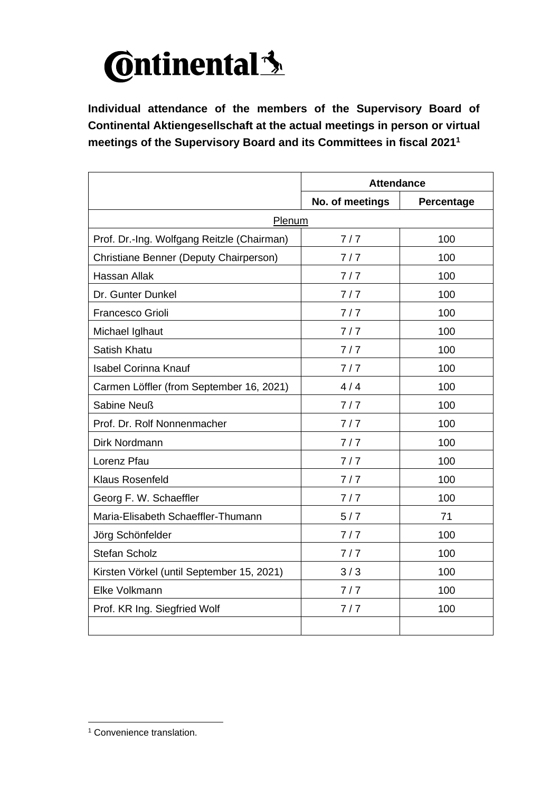

**Individual attendance of the members of the Supervisory Board of Continental Aktiengesellschaft at the actual meetings in person or virtual meetings of the Supervisory Board and its Committees in fiscal 2021 1**

|                                            | <b>Attendance</b> |            |
|--------------------------------------------|-------------------|------------|
|                                            | No. of meetings   | Percentage |
| Plenum                                     |                   |            |
| Prof. Dr.-Ing. Wolfgang Reitzle (Chairman) | 7/7               | 100        |
| Christiane Benner (Deputy Chairperson)     | 7/7               | 100        |
| <b>Hassan Allak</b>                        | 7/7               | 100        |
| Dr. Gunter Dunkel                          | 7/7               | 100        |
| <b>Francesco Grioli</b>                    | 7/7               | 100        |
| Michael Iglhaut                            | 7/7               | 100        |
| <b>Satish Khatu</b>                        | 7/7               | 100        |
| <b>Isabel Corinna Knauf</b>                | 7/7               | 100        |
| Carmen Löffler (from September 16, 2021)   | 4/4               | 100        |
| Sabine Neuß                                | 7/7               | 100        |
| Prof. Dr. Rolf Nonnenmacher                | 7/7               | 100        |
| Dirk Nordmann                              | 7/7               | 100        |
| Lorenz Pfau                                | 7/7               | 100        |
| <b>Klaus Rosenfeld</b>                     | 7/7               | 100        |
| Georg F. W. Schaeffler                     | 7/7               | 100        |
| Maria-Elisabeth Schaeffler-Thumann         | 5/7               | 71         |
| Jörg Schönfelder                           | 7/7               | 100        |
| <b>Stefan Scholz</b>                       | 7/7               | 100        |
| Kirsten Vörkel (until September 15, 2021)  | 3/3               | 100        |
| Elke Volkmann                              | 7/7               | 100        |
| Prof. KR Ing. Siegfried Wolf               | 7/7               | 100        |
|                                            |                   |            |

<sup>&</sup>lt;sup>1</sup> Convenience translation.